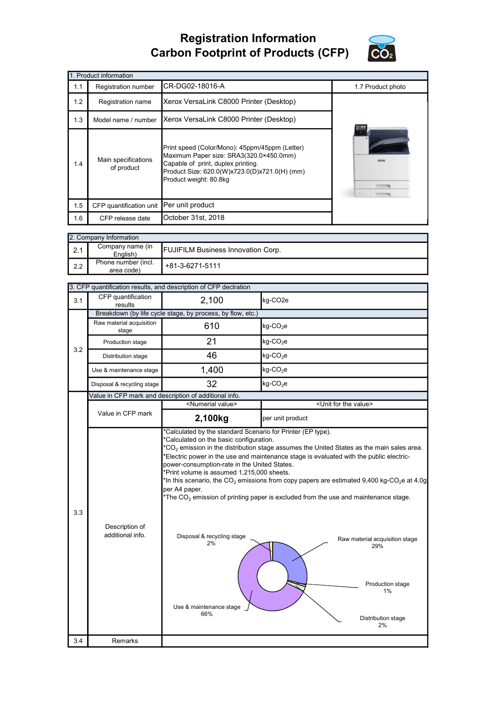## Registration Information Carbon Footprint of Products (CFP)



|     | 1. Product information            |                                                                                                                                                                                                            |                   |  |  |  |
|-----|-----------------------------------|------------------------------------------------------------------------------------------------------------------------------------------------------------------------------------------------------------|-------------------|--|--|--|
| 1.1 | Registration number               | CR-DG02-18016-A                                                                                                                                                                                            | 1.7 Product photo |  |  |  |
| 1.2 | Registration name                 | Xerox VersaLink C8000 Printer (Desktop)                                                                                                                                                                    |                   |  |  |  |
| 1.3 | Model name / number               | Xerox VersaLink C8000 Printer (Desktop)                                                                                                                                                                    |                   |  |  |  |
| 1.4 | Main specifications<br>of product | Print speed (Color/Mono): 45ppm/45ppm (Letter)<br>Maximum Paper size: SRA3(320.0×450.0mm)<br>Capable of print, duplex printing.<br>Product Size: 620.0(W)x723.0(D)x721.0(H) (mm)<br>Product weight: 80.8kg |                   |  |  |  |
| 1.5 | CFP quantification unit           | Per unit product                                                                                                                                                                                           |                   |  |  |  |
| 1.6 | CFP release date                  | October 31st, 2018                                                                                                                                                                                         |                   |  |  |  |

|     | 2. Company Information                                                    |                   |  |  |  |
|-----|---------------------------------------------------------------------------|-------------------|--|--|--|
|     | Company name (in<br><b>FUJIFILM Business Innovation Corp.</b><br>English) |                   |  |  |  |
| 2.2 | Phone number (incl.<br>area code)                                         | $+81-3-6271-5111$ |  |  |  |

|     |                                    | 3. CFP quantification results, and description of CFP declration                                                                                                                  |                                                                                                                                                                                                                                                                                                                                                                                                                                                                                                               |  |  |
|-----|------------------------------------|-----------------------------------------------------------------------------------------------------------------------------------------------------------------------------------|---------------------------------------------------------------------------------------------------------------------------------------------------------------------------------------------------------------------------------------------------------------------------------------------------------------------------------------------------------------------------------------------------------------------------------------------------------------------------------------------------------------|--|--|
| 3.1 | CFP quantification<br>results      | 2,100                                                                                                                                                                             | kg-CO2e                                                                                                                                                                                                                                                                                                                                                                                                                                                                                                       |  |  |
|     |                                    | Breakdown (by life cycle stage, by process, by flow, etc.)                                                                                                                        |                                                                                                                                                                                                                                                                                                                                                                                                                                                                                                               |  |  |
|     | Raw material acquisition<br>stage  | 610                                                                                                                                                                               | $kg$ -CO <sub>2</sub> e                                                                                                                                                                                                                                                                                                                                                                                                                                                                                       |  |  |
| 3.2 | Production stage                   | 21                                                                                                                                                                                | $kg$ -CO <sub>2</sub> e                                                                                                                                                                                                                                                                                                                                                                                                                                                                                       |  |  |
|     | Distribution stage                 | 46                                                                                                                                                                                | $kg$ -CO <sub>2</sub> e                                                                                                                                                                                                                                                                                                                                                                                                                                                                                       |  |  |
|     | Use & maintenance stage            | 1,400                                                                                                                                                                             | $kg$ -CO <sub>2</sub> e                                                                                                                                                                                                                                                                                                                                                                                                                                                                                       |  |  |
|     | Disposal & recycling stage         | 32                                                                                                                                                                                | $kg$ -CO <sub>2</sub> e                                                                                                                                                                                                                                                                                                                                                                                                                                                                                       |  |  |
|     |                                    | Value in CFP mark and description of additional info.                                                                                                                             |                                                                                                                                                                                                                                                                                                                                                                                                                                                                                                               |  |  |
|     |                                    | <numerial value=""></numerial>                                                                                                                                                    | <unit for="" the="" value=""></unit>                                                                                                                                                                                                                                                                                                                                                                                                                                                                          |  |  |
|     | Value in CFP mark                  | 2,100kg<br>*Calculated by the standard Scenario for Printer (EP type).                                                                                                            | per unit product                                                                                                                                                                                                                                                                                                                                                                                                                                                                                              |  |  |
| 3.3 | Description of<br>additional info. | power-consumption-rate in the United States.<br>*Print volume is assumed 1,215,000 sheets.<br>per A4 paper.<br>Disposal & recycling stage<br>2%<br>Use & maintenance stage<br>66% | $^*$ CO $_2$ emission in the distribution stage assumes the United States as the main sales area.<br>*Electric power in the use and maintenance stage is evaluated with the public electric-<br>*In this scenario, the CO <sub>2</sub> emissions from copy papers are estimated 9,400 kg-CO <sub>2</sub> e at 4.0g<br>*The $CO2$ emission of printing paper is excluded from the use and maintenance stage.<br>Raw material acquisition stage<br>29%<br>Production stage<br>$1\%$<br>Distribution stage<br>2% |  |  |
| 3.4 | Remarks                            |                                                                                                                                                                                   |                                                                                                                                                                                                                                                                                                                                                                                                                                                                                                               |  |  |